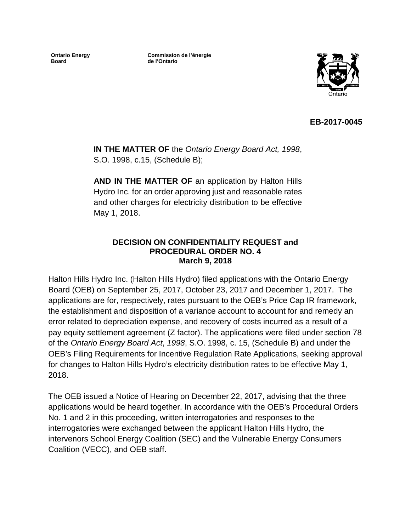**Ontario Energy Board**

**Commission de l'énergie de l'Ontario**



**EB-2017-0045**

**IN THE MATTER OF** the *Ontario Energy Board Act, 1998*, S.O. 1998, c.15, (Schedule B);

**AND IN THE MATTER OF** an application by Halton Hills Hydro Inc. for an order approving just and reasonable rates and other charges for electricity distribution to be effective May 1, 2018.

#### **DECISION ON CONFIDENTIALITY REQUEST and PROCEDURAL ORDER NO. 4 March 9, 2018**

Halton Hills Hydro Inc. (Halton Hills Hydro) filed applications with the Ontario Energy Board (OEB) on September 25, 2017, October 23, 2017 and December 1, 2017. The applications are for, respectively, rates pursuant to the OEB's Price Cap IR framework, the establishment and disposition of a variance account to account for and remedy an error related to depreciation expense, and recovery of costs incurred as a result of a pay equity settlement agreement (Z factor). The applications were filed under section 78 of the *Ontario Energy Board Act*, *1998*, S.O. 1998, c. 15, (Schedule B) and under the OEB's Filing Requirements for Incentive Regulation Rate Applications, seeking approval for changes to Halton Hills Hydro's electricity distribution rates to be effective May 1, 2018.

The OEB issued a Notice of Hearing on December 22, 2017, advising that the three applications would be heard together. In accordance with the OEB's Procedural Orders No. 1 and 2 in this proceeding, written interrogatories and responses to the interrogatories were exchanged between the applicant Halton Hills Hydro, the intervenors School Energy Coalition (SEC) and the Vulnerable Energy Consumers Coalition (VECC), and OEB staff.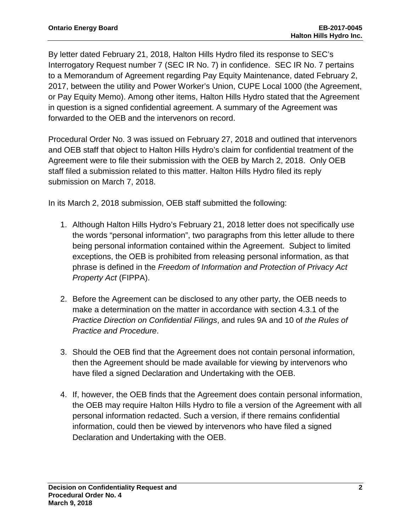By letter dated February 21, 2018, Halton Hills Hydro filed its response to SEC's Interrogatory Request number 7 (SEC IR No. 7) in confidence. SEC IR No. 7 pertains to a Memorandum of Agreement regarding Pay Equity Maintenance, dated February 2, 2017, between the utility and Power Worker's Union, CUPE Local 1000 (the Agreement, or Pay Equity Memo). Among other items, Halton Hills Hydro stated that the Agreement in question is a signed confidential agreement. A summary of the Agreement was forwarded to the OEB and the intervenors on record.

Procedural Order No. 3 was issued on February 27, 2018 and outlined that intervenors and OEB staff that object to Halton Hills Hydro's claim for confidential treatment of the Agreement were to file their submission with the OEB by March 2, 2018. Only OEB staff filed a submission related to this matter. Halton Hills Hydro filed its reply submission on March 7, 2018.

In its March 2, 2018 submission, OEB staff submitted the following:

- 1. Although Halton Hills Hydro's February 21, 2018 letter does not specifically use the words "personal information", two paragraphs from this letter allude to there being personal information contained within the Agreement. Subject to limited exceptions, the OEB is prohibited from releasing personal information, as that phrase is defined in the *Freedom of Information and Protection of Privacy Act Property Act* (FIPPA).
- 2. Before the Agreement can be disclosed to any other party, the OEB needs to make a determination on the matter in accordance with section 4.3.1 of the *Practice Direction on Confidential Filings*, and rules 9A and 10 of *the Rules of Practice and Procedure*.
- 3. Should the OEB find that the Agreement does not contain personal information, then the Agreement should be made available for viewing by intervenors who have filed a signed Declaration and Undertaking with the OEB.
- 4. If, however, the OEB finds that the Agreement does contain personal information, the OEB may require Halton Hills Hydro to file a version of the Agreement with all personal information redacted. Such a version, if there remains confidential information, could then be viewed by intervenors who have filed a signed Declaration and Undertaking with the OEB.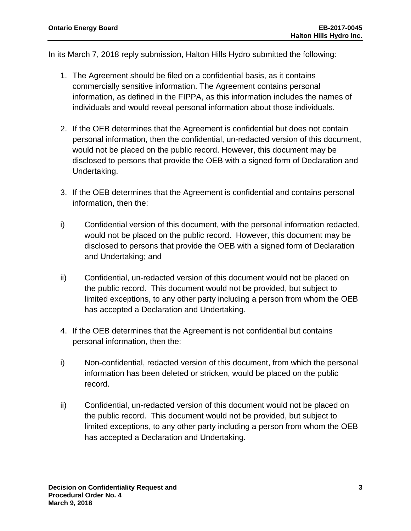In its March 7, 2018 reply submission, Halton Hills Hydro submitted the following:

- 1. The Agreement should be filed on a confidential basis, as it contains commercially sensitive information. The Agreement contains personal information, as defined in the FIPPA, as this information includes the names of individuals and would reveal personal information about those individuals.
- 2. If the OEB determines that the Agreement is confidential but does not contain personal information, then the confidential, un-redacted version of this document, would not be placed on the public record. However, this document may be disclosed to persons that provide the OEB with a signed form of Declaration and Undertaking.
- 3. If the OEB determines that the Agreement is confidential and contains personal information, then the:
- i) Confidential version of this document, with the personal information redacted, would not be placed on the public record. However, this document may be disclosed to persons that provide the OEB with a signed form of Declaration and Undertaking; and
- ii) Confidential, un-redacted version of this document would not be placed on the public record. This document would not be provided, but subject to limited exceptions, to any other party including a person from whom the OEB has accepted a Declaration and Undertaking.
- 4. If the OEB determines that the Agreement is not confidential but contains personal information, then the:
- i) Non-confidential, redacted version of this document, from which the personal information has been deleted or stricken, would be placed on the public record.
- ii) Confidential, un-redacted version of this document would not be placed on the public record. This document would not be provided, but subject to limited exceptions, to any other party including a person from whom the OEB has accepted a Declaration and Undertaking.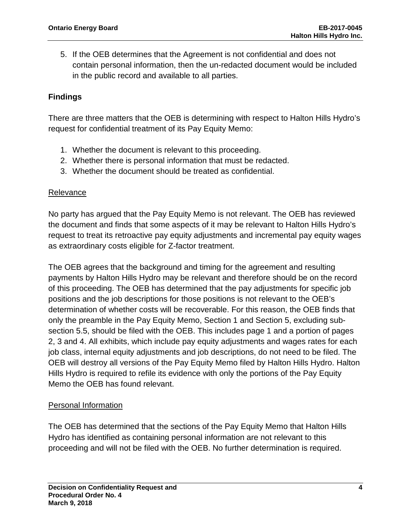5. If the OEB determines that the Agreement is not confidential and does not contain personal information, then the un-redacted document would be included in the public record and available to all parties.

# **Findings**

There are three matters that the OEB is determining with respect to Halton Hills Hydro's request for confidential treatment of its Pay Equity Memo:

- 1. Whether the document is relevant to this proceeding.
- 2. Whether there is personal information that must be redacted.
- 3. Whether the document should be treated as confidential.

### Relevance

No party has argued that the Pay Equity Memo is not relevant. The OEB has reviewed the document and finds that some aspects of it may be relevant to Halton Hills Hydro's request to treat its retroactive pay equity adjustments and incremental pay equity wages as extraordinary costs eligible for Z-factor treatment.

The OEB agrees that the background and timing for the agreement and resulting payments by Halton Hills Hydro may be relevant and therefore should be on the record of this proceeding. The OEB has determined that the pay adjustments for specific job positions and the job descriptions for those positions is not relevant to the OEB's determination of whether costs will be recoverable. For this reason, the OEB finds that only the preamble in the Pay Equity Memo, Section 1 and Section 5, excluding subsection 5.5, should be filed with the OEB. This includes page 1 and a portion of pages 2, 3 and 4. All exhibits, which include pay equity adjustments and wages rates for each job class, internal equity adjustments and job descriptions, do not need to be filed. The OEB will destroy all versions of the Pay Equity Memo filed by Halton Hills Hydro. Halton Hills Hydro is required to refile its evidence with only the portions of the Pay Equity Memo the OEB has found relevant.

# Personal Information

The OEB has determined that the sections of the Pay Equity Memo that Halton Hills Hydro has identified as containing personal information are not relevant to this proceeding and will not be filed with the OEB. No further determination is required.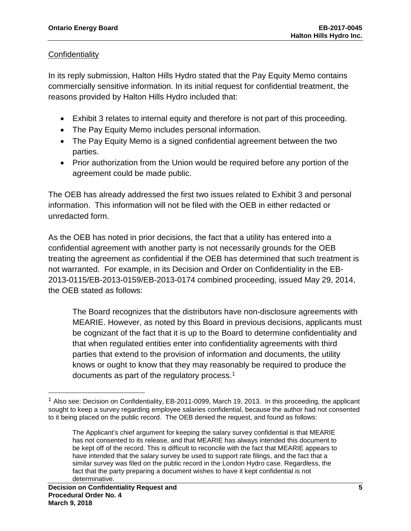### **Confidentiality**

In its reply submission, Halton Hills Hydro stated that the Pay Equity Memo contains commercially sensitive information. In its initial request for confidential treatment, the reasons provided by Halton Hills Hydro included that:

- Exhibit 3 relates to internal equity and therefore is not part of this proceeding.
- The Pay Equity Memo includes personal information.
- The Pay Equity Memo is a signed confidential agreement between the two parties.
- Prior authorization from the Union would be required before any portion of the agreement could be made public.

The OEB has already addressed the first two issues related to Exhibit 3 and personal information. This information will not be filed with the OEB in either redacted or unredacted form.

As the OEB has noted in prior decisions, the fact that a utility has entered into a confidential agreement with another party is not necessarily grounds for the OEB treating the agreement as confidential if the OEB has determined that such treatment is not warranted. For example, in its Decision and Order on Confidentiality in the EB-2013-0115/EB-2013-0159/EB-2013-0174 combined proceeding, issued May 29, 2014, the OEB stated as follows:

The Board recognizes that the distributors have non-disclosure agreements with MEARIE. However, as noted by this Board in previous decisions, applicants must be cognizant of the fact that it is up to the Board to determine confidentiality and that when regulated entities enter into confidentiality agreements with third parties that extend to the provision of information and documents, the utility knows or ought to know that they may reasonably be required to produce the documents as part of the regulatory process. [1](#page-4-0)

 $\overline{\phantom{a}}$ 

<span id="page-4-0"></span> $<sup>1</sup>$  Also see: Decision on Confidentiality, EB-2011-0099, March 19, 2013. In this proceeding, the applicant</sup> sought to keep a survey regarding employee salaries confidential, because the author had not consented to it being placed on the public record. The OEB denied the request, and found as follows:

The Applicant's chief argument for keeping the salary survey confidential is that MEARIE has not consented to its release, and that MEARIE has always intended this document to be kept off of the record. This is difficult to reconcile with the fact that MEARIE appears to have intended that the salary survey be used to support rate filings, and the fact that a similar survey was filed on the public record in the London Hydro case. Regardless, the fact that the party preparing a document wishes to have it kept confidential is not determinative.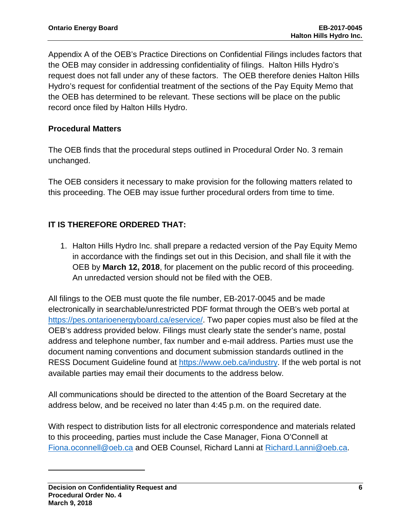Appendix A of the OEB's Practice Directions on Confidential Filings includes factors that the OEB may consider in addressing confidentiality of filings. Halton Hills Hydro's request does not fall under any of these factors. The OEB therefore denies Halton Hills Hydro's request for confidential treatment of the sections of the Pay Equity Memo that the OEB has determined to be relevant. These sections will be place on the public record once filed by Halton Hills Hydro.

# **Procedural Matters**

The OEB finds that the procedural steps outlined in Procedural Order No. 3 remain unchanged.

The OEB considers it necessary to make provision for the following matters related to this proceeding. The OEB may issue further procedural orders from time to time.

# **IT IS THEREFORE ORDERED THAT:**

1. Halton Hills Hydro Inc. shall prepare a redacted version of the Pay Equity Memo in accordance with the findings set out in this Decision, and shall file it with the OEB by **March 12, 2018**, for placement on the public record of this proceeding. An unredacted version should not be filed with the OEB.

All filings to the OEB must quote the file number, EB-2017-0045 and be made electronically in searchable/unrestricted PDF format through the OEB's web portal at [https://pes.ontarioenergyboard.ca/eservice/.](https://pes.ontarioenergyboard.ca/eservice/) Two paper copies must also be filed at the OEB's address provided below. Filings must clearly state the sender's name, postal address and telephone number, fax number and e-mail address. Parties must use the document naming conventions and document submission standards outlined in the RESS Document Guideline found at [https://www.oeb.ca/industry.](https://www.oeb.ca/industry) If the web portal is not available parties may email their documents to the address below.

All communications should be directed to the attention of the Board Secretary at the address below, and be received no later than 4:45 p.m. on the required date.

With respect to distribution lists for all electronic correspondence and materials related to this proceeding, parties must include the Case Manager, Fiona O'Connell at [Fiona.oconnell@oeb.ca](mailto:Fiona.oconnell@oeb.ca) and OEB Counsel, Richard Lanni at [Richard.Lanni@oeb.ca.](mailto:Richard.Lanni@oeb.ca)

l